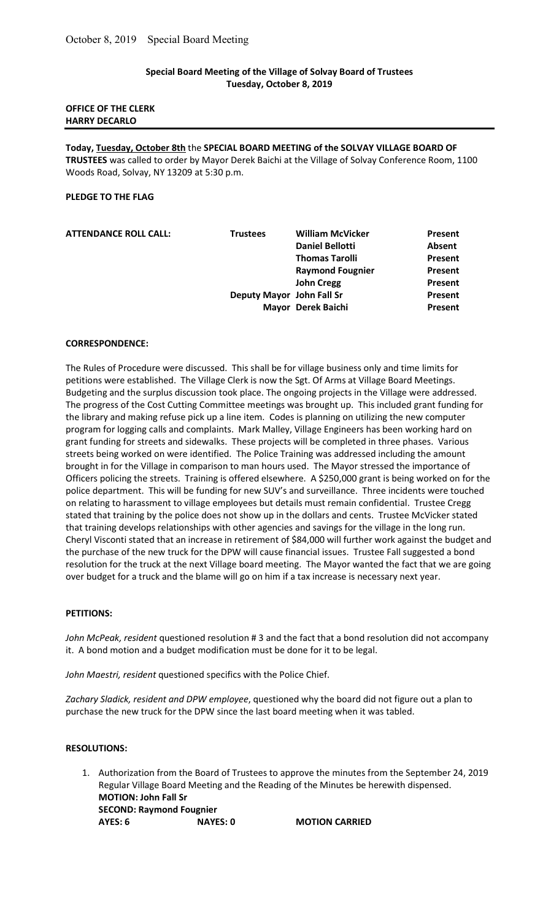# Special Board Meeting of the Village of Solvay Board of Trustees Tuesday, October 8, 2019

## OFFICE OF THE CLERK HARRY DECARLO

Today, Tuesday, October 8th the SPECIAL BOARD MEETING of the SOLVAY VILLAGE BOARD OF TRUSTEES was called to order by Mayor Derek Baichi at the Village of Solvay Conference Room, 1100 Woods Road, Solvay, NY 13209 at 5:30 p.m.

## PLEDGE TO THE FLAG

| <b>ATTENDANCE ROLL CALL:</b> | <b>Trustees</b>           | <b>William McVicker</b> | Present        |
|------------------------------|---------------------------|-------------------------|----------------|
|                              |                           | <b>Daniel Bellotti</b>  | Absent         |
|                              |                           | <b>Thomas Tarolli</b>   | Present        |
|                              |                           | <b>Raymond Fougnier</b> | Present        |
|                              |                           | <b>John Cregg</b>       | Present        |
|                              | Deputy Mayor John Fall Sr |                         | Present        |
|                              |                           | Mayor Derek Baichi      | <b>Present</b> |
|                              |                           |                         |                |

### CORRESPONDENCE:

The Rules of Procedure were discussed. This shall be for village business only and time limits for petitions were established. The Village Clerk is now the Sgt. Of Arms at Village Board Meetings. Budgeting and the surplus discussion took place. The ongoing projects in the Village were addressed. The progress of the Cost Cutting Committee meetings was brought up. This included grant funding for the library and making refuse pick up a line item. Codes is planning on utilizing the new computer program for logging calls and complaints. Mark Malley, Village Engineers has been working hard on grant funding for streets and sidewalks. These projects will be completed in three phases. Various streets being worked on were identified. The Police Training was addressed including the amount brought in for the Village in comparison to man hours used. The Mayor stressed the importance of Officers policing the streets. Training is offered elsewhere. A \$250,000 grant is being worked on for the police department. This will be funding for new SUV's and surveillance. Three incidents were touched on relating to harassment to village employees but details must remain confidential. Trustee Cregg stated that training by the police does not show up in the dollars and cents. Trustee McVicker stated that training develops relationships with other agencies and savings for the village in the long run. Cheryl Visconti stated that an increase in retirement of \$84,000 will further work against the budget and the purchase of the new truck for the DPW will cause financial issues. Trustee Fall suggested a bond resolution for the truck at the next Village board meeting. The Mayor wanted the fact that we are going over budget for a truck and the blame will go on him if a tax increase is necessary next year.

### PETITIONS:

John McPeak, resident questioned resolution # 3 and the fact that a bond resolution did not accompany it. A bond motion and a budget modification must be done for it to be legal.

John Maestri, resident questioned specifics with the Police Chief.

Zachary Sladick, resident and DPW employee, questioned why the board did not figure out a plan to purchase the new truck for the DPW since the last board meeting when it was tabled.

#### RESOLUTIONS:

1. Authorization from the Board of Trustees to approve the minutes from the September 24, 2019 Regular Village Board Meeting and the Reading of the Minutes be herewith dispensed. MOTION: John Fall Sr SECOND: Raymond Fougnier AYES: 6 NAYES: 0 MOTION CARRIED